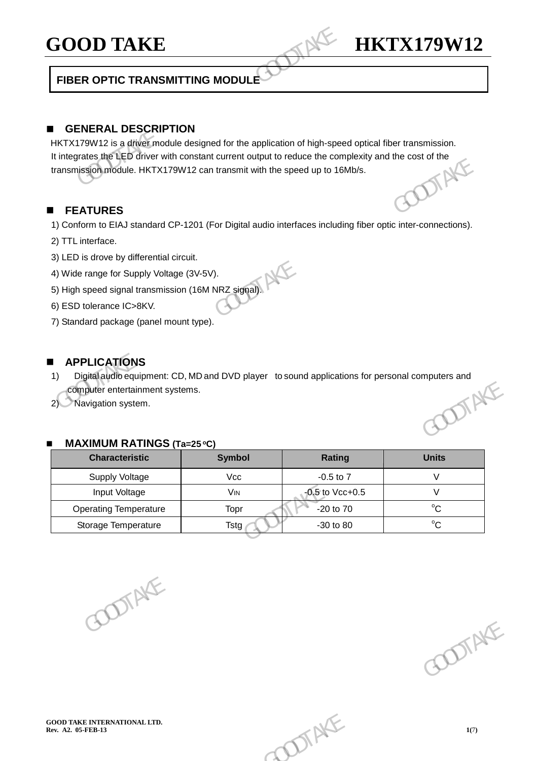## GOOD TAKE **HKTX179W12**

## **FIBER OPTIC TRANSMITTING MODULE**

## **GENERAL DESCRIPTION**

HKTX179W12 is a driver module designed for the application of high-speed optical fiber transmission. It integrates the LED driver with constant current output to reduce the complexity and the cost of the transmission module. HKTX179W12 can transmit with the speed up to 16Mb/s. transmission module. HKTX179W12 can transmit with the speed up to 16Mb/s. GOOD TAKE<br>
FIBER OPTIC TRANSMITTING MODULE<br>
FIBER OPTIC TRANSMITTING MODULE<br>
EXERCITION<br>
HKTX179W12 is a driver with constant current output to reduce the com<br>
transmission module. HKTX179W12 can transmit with the speed up

#### **FEATURES**

- 1) Conform to EIAJ standard CP-1201 (For Digital audio interfaces including fiber optic inter-connections).
- 2) TTL interface.
- 3) LED is drove by differential circuit.
- 4) Wide range for Supply Voltage (3V-5V).
- 5) High speed signal transmission (16M NRZ signal).
- 6) ESD tolerance IC>8KV.
- 7) Standard package (panel mount type).

#### **APPLICATIONS**

- 1) Digital audio equipment: CD, MD and DVD player to sound applications for personal computers and<br>
2) Navigation system.<br>
2) Navigation system. computer entertainment systems. The means is signal module. HKTX179W12 can transmit with the speed up to 16Mb/s.<br>
transmission module. HKTX179W12 can transmit with the speed up to 16Mb/s.<br>
The **FEATURES**<br>
1) Conform to EIAJ standard CP-1201 (For Digital
	- 2) Navigation system.

#### **MAXIMUM RATINGS (Ta=25 oC)**

| <b>MAXIMUM RATINGS (Ta=25 °C)</b><br><b>Characteristic</b> | <b>Symbol</b> | <b>Rating</b>        | <b>Units</b> |
|------------------------------------------------------------|---------------|----------------------|--------------|
| Supply Voltage                                             | Vcc           | $-0.5$ to $7$        | $\vee$       |
| Input Voltage                                              | VIN           | $-0.5$ to Vcc $+0.5$ | $\vee$       |
| <b>Operating Temperature</b>                               | Topr          | $-20$ to $70$        | $^{\circ}C$  |
| Storage Temperature                                        | <b>Tstg</b>   | $-30$ to $80$        | $^{\circ}C$  |
|                                                            |               |                      |              |

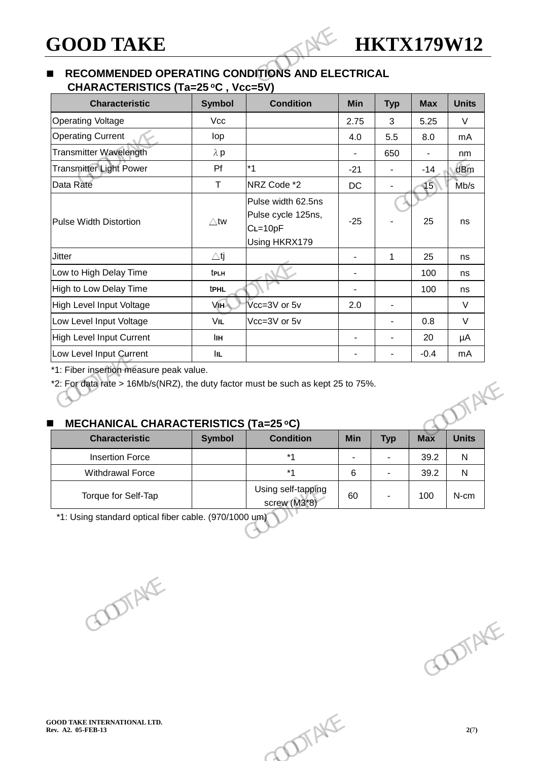### **RECOMMENDED OPERATING CONDITIONS AND ELECTRICAL CHARACTERISTICS (Ta=25 oC , Vcc=5V)**

| <b>Characteristic</b>           | <b>Symbol</b>  | <b>Condition</b>                                                     | <b>Min</b>     | <b>Typ</b>     | <b>Max</b>      | <b>Units</b> |
|---------------------------------|----------------|----------------------------------------------------------------------|----------------|----------------|-----------------|--------------|
| <b>Operating Voltage</b>        | Vcc            |                                                                      | 2.75           | 3              | 5.25            | $\vee$       |
| <b>Operating Current</b>        | lop            |                                                                      | 4.0            | 5.5            | 8.0             | mA           |
| Transmitter Wavelength          | $\lambda$ p    |                                                                      |                | 650            |                 | nm           |
| <b>Transmitter Light Power</b>  | Pf             | $*1$                                                                 | $-21$          |                | $-14$           | dBm          |
| Data Rate                       | $\mathsf{T}$   | NRZ Code *2                                                          | <b>DC</b>      |                | $\overline{15}$ | Mb/s         |
| <b>Pulse Width Distortion</b>   | $\triangle$ tw | Pulse width 62.5ns<br>Pulse cycle 125ns,<br>CL=10pF<br>Using HKRX179 | $-25$          |                | 25              | ns           |
| <b>Jitter</b>                   | $\triangle$ tj |                                                                      | ä,             | $\mathbf 1$    | 25              | ns           |
| Low to High Delay Time          | tplh           |                                                                      | $\overline{a}$ |                | 100             | ns           |
| High to Low Delay Time          | <b>tPHL</b>    |                                                                      |                |                | 100             | ns           |
| High Level Input Voltage        | <b>VIH</b>     | Vcc=3V or 5v                                                         | 2.0            | $\blacksquare$ |                 | $\vee$       |
| Low Level Input Voltage         | VIL            | Vcc=3V or 5v                                                         |                |                | 0.8             | $\vee$       |
| <b>High Level Input Current</b> | lін            |                                                                      | $\overline{a}$ |                | 20              | μA           |
| Low Level Input Current         | <b>IIL</b>     |                                                                      | $\overline{a}$ |                | $-0.4$          | mA           |

## **MECHANICAL CHARACTERISTICS (Ta=25 oC)**

| <b>MECHANICAL CHARACTERISTICS (Ta=25 °C)</b>          |               |                                    |            |            |            |              |
|-------------------------------------------------------|---------------|------------------------------------|------------|------------|------------|--------------|
| <b>Characteristic</b>                                 | <b>Symbol</b> | <b>Condition</b>                   | <b>Min</b> | <b>Typ</b> | <b>Max</b> | <b>Units</b> |
| <b>Insertion Force</b>                                |               | $*1$                               |            |            | 39.2       | N            |
| <b>Withdrawal Force</b>                               |               | $*1$                               | 6          |            | 39.2       | N            |
| Torque for Self-Tap                                   |               | Using self-tapping<br>screw (M3*8) | 60         |            | 100        | N-cm         |
| *1: Using standard optical fiber cable. (970/1000 um) |               |                                    |            |            |            |              |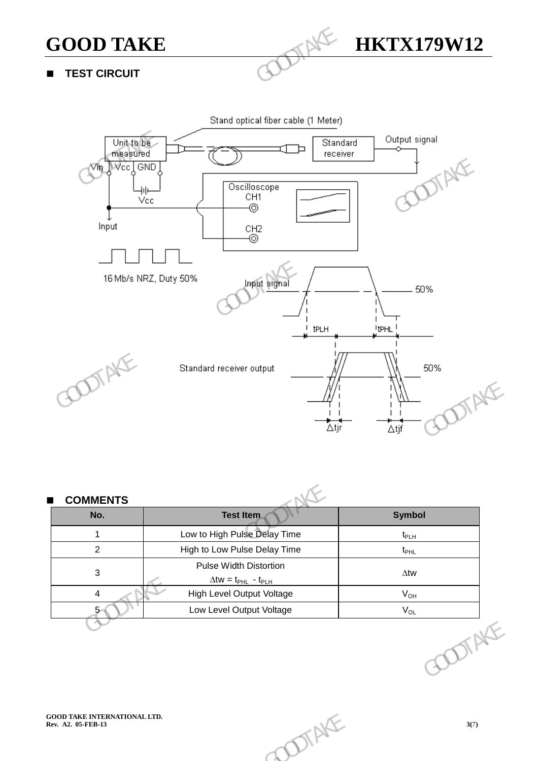

**TEST CIRCUIT**



| <b>COMMENTS</b><br>No.  | <b>Test Item</b>                                                                   | <b>Symbol</b>      |
|-------------------------|------------------------------------------------------------------------------------|--------------------|
| $\mathbf{1}$            | Low to High Pulse Delay Time                                                       | $t_{PLH}$          |
| $\overline{c}$          | High to Low Pulse Delay Time                                                       | $t_{\text{PHL}}$   |
| $\mathbf{3}$            | <b>Pulse Width Distortion</b><br>$\Delta$ tw = t <sub>PHL</sub> - t <sub>PLH</sub> | $\Delta \text{tw}$ |
| $\overline{\mathbf{4}}$ | High Level Output Voltage                                                          | $V_{OH}$           |
| 5                       | Low Level Output Voltage                                                           | $\rm V_{OL}$       |
|                         |                                                                                    | DIAKE              |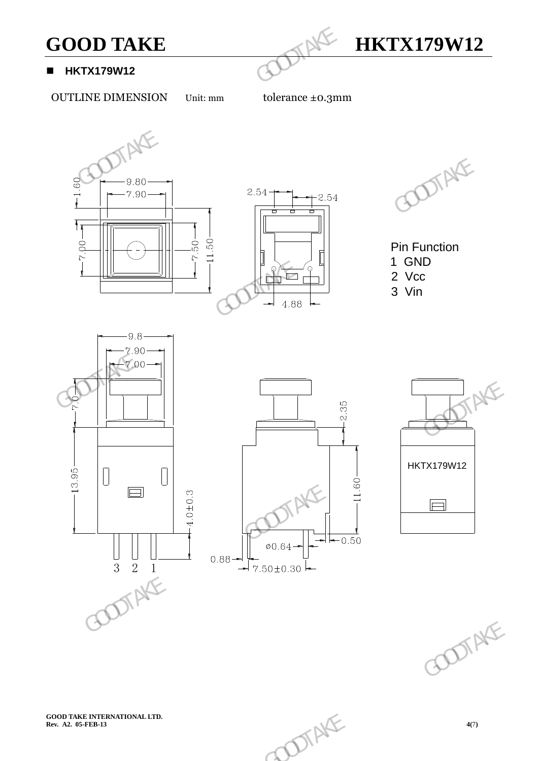

#### **HKTX179W12**

OUTLINE DIMENSION Unit: mm tolerance ±0.3mm



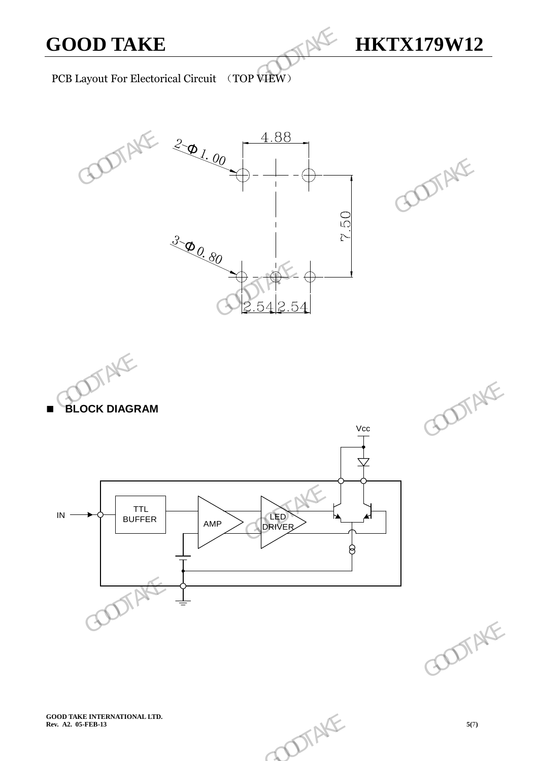

PCB Layout For Electorical Circuit (TOP VIEW)





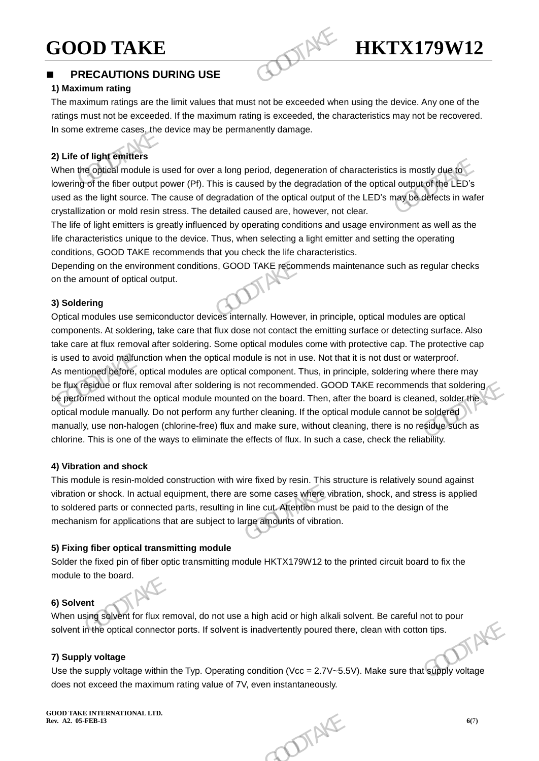# **GOOD TAKE HKTX179W12**

## **PRECAUTIONS DURING USE**

#### **1) Maximum rating**

The maximum ratings are the limit values that must not be exceeded when using the device. Any one of the ratings must not be exceeded. If the maximum rating is exceeded, the characteristics may not be recovered. In some extreme cases, the device may be permanently damage.

#### **2) Life of light emitters**

When the optical module is used for over a long period, degeneration of characteristics is mostly due to lowering of the fiber output power (Pf). This is caused by the degradation of the optical output of the LED's used as the light source. The cause of degradation of the optical output of the LED's may be defects in wafer crystallization or mold resin stress. The detailed caused are, however, not clear. **GOOD TAKE**<br> **PRECAUTIONS DURING USE**<br> **PRECAUTIONS DURING USE**<br> **PRECAUTIONS DURING USE**<br> **PRECAUTIONS DURING USE**<br> **PRECAUTIONS DURING USE**<br> **PRECAUTIONS DURING USE**<br> **PRECAUTIONS DURING USE**<br> **PRECAUTIONS DURING USE**<br>

The life of light emitters is greatly influenced by operating conditions and usage environment as well as the life characteristics unique to the device. Thus, when selecting a light emitter and setting the operating conditions, GOOD TAKE recommends that you check the life characteristics.

Depending on the environment conditions, GOOD TAKE recommends maintenance such as regular checks on the amount of optical output.

#### **3) Soldering**

Optical modules use semiconductor devices internally. However, in principle, optical modules are optical components. At soldering, take care that flux dose not contact the emitting surface or detecting surface. Also take care at flux removal after soldering. Some optical modules come with protective cap. The protective cap is used to avoid malfunction when the optical module is not in use. Not that it is not dust or waterproof. As mentioned before, optical modules are optical component. Thus, in principle, soldering where there may be flux residue or flux removal after soldering is not recommended. GOOD TAKE recommends that soldering be performed without the optical module mounted on the board. Then, after the board is cleaned, solder the optical module manually. Do not perform any further cleaning. If the optical module cannot be soldered manually, use non-halogen (chlorine-free) flux and make sure, without cleaning, there is no residue such as chlorine. This is one of the ways to eliminate the effects of flux. In such a case, check the reliability. Solven the physical module is used for over a long period, degeneration of characteristics is mostly due to be the physical module is used for over a long period, degeneration of the optical output of the LED's used as th dejidue or flux removal after soldering is not recommended. GOOD TAKE recommends that soldering<br>
immed without the optical module mounted on the board. Then, after the board is cleaned, solder this<br>
module manually. Do not

#### **4) Vibration and shock**

This module is resin-molded construction with wire fixed by resin. This structure is relatively sound against vibration or shock. In actual equipment, there are some cases where vibration, shock, and stress is applied to soldered parts or connected parts, resulting in line cut. Attention must be paid to the design of the mechanism for applications that are subject to large amounts of vibration.

#### **5) Fixing fiber optical transmitting module**

Solder the fixed pin of fiber optic transmitting module HKTX179W12 to the printed circuit board to fix the module to the board.

#### **6) Solvent**

When using solvent for flux removal, do not use a high acid or high alkali solvent. Be careful not to pour solvent in the optical connector ports. If solvent is inadvertently poured there, clean with cotton tips.<br>
7) Supp solvent in the optical connector ports. If solvent is inadvertently poured there, clean with cotton tips.

#### **7) Supply voltage**

Use the supply voltage within the Typ. Operating condition (Vcc = 2.7V~5.5V). Make sure that supply voltage does not exceed the maximum rating value of 7V, even instantaneously. subject to large amounts of vibration.<br> **g module**<br>
Solutions are primed circuit board to fix the<br>
discussion of the primed circuit board to fix the<br>
discussion of the primed circuit board to fix the<br>
Solution (1995).<br>
Sol